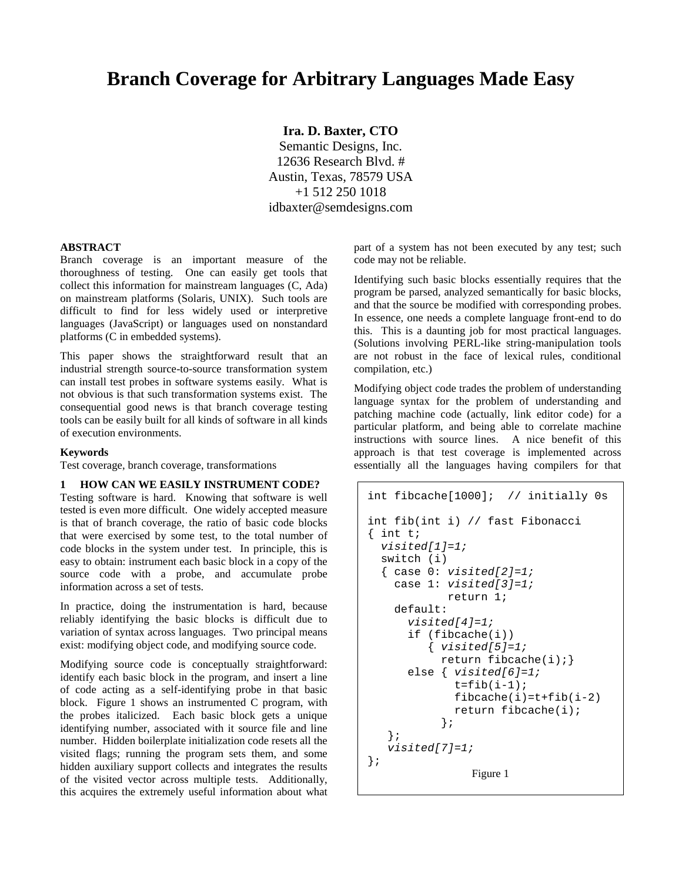# **Branch Coverage for Arbitrary Languages Made Easy**

**Ira. D. Baxter, CTO**

Semantic Designs, Inc. 12636 Research Blvd. # Austin, Texas, 78579 USA +1 512 250 1018 idbaxter@semdesigns.com

### **ABSTRACT**

Branch coverage is an important measure of the thoroughness of testing. One can easily get tools that collect this information for mainstream languages (C, Ada) on mainstream platforms (Solaris, UNIX). Such tools are difficult to find for less widely used or interpretive languages (JavaScript) or languages used on nonstandard platforms (C in embedded systems).

This paper shows the straightforward result that an industrial strength source-to-source transformation system can install test probes in software systems easily. What is not obvious is that such transformation systems exist. The consequential good news is that branch coverage testing tools can be easily built for all kinds of software in all kinds of execution environments.

## **Keywords**

Test coverage, branch coverage, transformations

#### **1 HOW CAN WE EASILY INSTRUMENT CODE?**

Testing software is hard. Knowing that software is well tested is even more difficult. One widely accepted measure is that of branch coverage, the ratio of basic code blocks that were exercised by some test, to the total number of code blocks in the system under test. In principle, this is easy to obtain: instrument each basic block in a copy of the source code with a probe, and accumulate probe information across a set of tests.

In practice, doing the instrumentation is hard, because reliably identifying the basic blocks is difficult due to variation of syntax across languages. Two principal means exist: modifying object code, and modifying source code.

Modifying source code is conceptually straightforward: identify each basic block in the program, and insert a line of code acting as a self-identifying probe in that basic block. Figure 1 shows an instrumented C program, with the probes italicized. Each basic block gets a unique identifying number, associated with it source file and line number. Hidden boilerplate initialization code resets all the visited flags; running the program sets them, and some hidden auxiliary support collects and integrates the results of the visited vector across multiple tests. Additionally, this acquires the extremely useful information about what part of a system has not been executed by any test; such code may not be reliable.

Identifying such basic blocks essentially requires that the program be parsed, analyzed semantically for basic blocks, and that the source be modified with corresponding probes. In essence, one needs a complete language front-end to do this. This is a daunting job for most practical languages. (Solutions involving PERL-like string-manipulation tools are not robust in the face of lexical rules, conditional compilation, etc.)

Modifying object code trades the problem of understanding language syntax for the problem of understanding and patching machine code (actually, link editor code) for a particular platform, and being able to correlate machine instructions with source lines. A nice benefit of this approach is that test coverage is implemented across essentially all the languages having compilers for that

```
int fibcache[1000]; // initially 0s
int fib(int i) // fast Fibonacci
\{ int t;
 visited[1]=1;
  switch (i)
  { case 0: visited[2]=1;case 1: visited[3]=1;return 1;
   default:
      visited[4]=1;
      if (fibcache(i))
         \{ visibled[5]=1;return fibcache(i);}
      else { visited[6]=1;
             t=fib(i-1);fibcache(i)=t+fib(i-2)return fibcache(i);
           };
   };
   visited[7]=1;
};
                Figure 1
```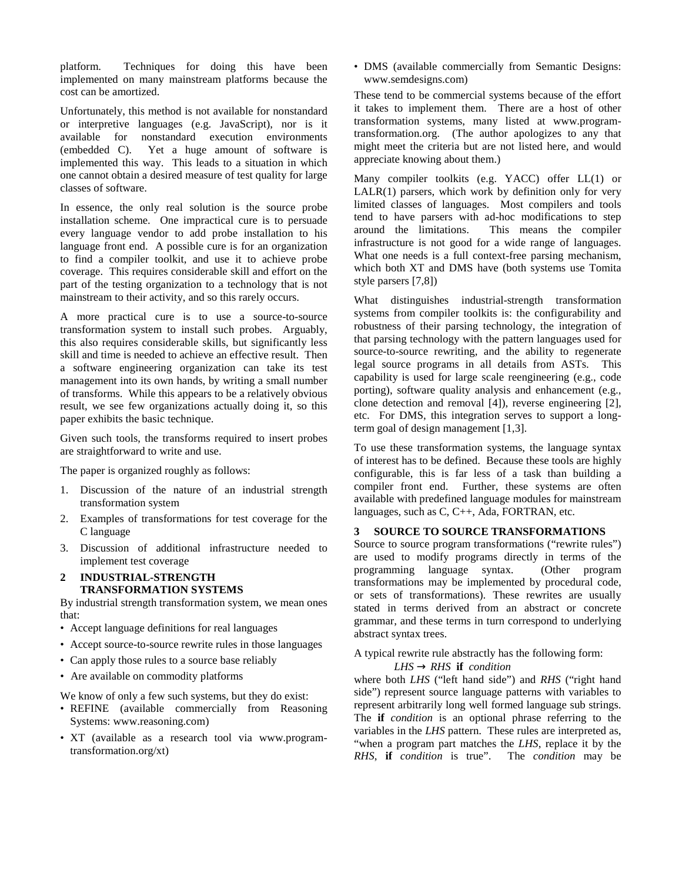platform. Techniques for doing this have been implemented on many mainstream platforms because the cost can be amortized.

Unfortunately, this method is not available for nonstandard or interpretive languages (e.g. JavaScript), nor is it available for nonstandard execution environments (embedded C). Yet a huge amount of software is implemented this way. This leads to a situation in which one cannot obtain a desired measure of test quality for large classes of software.

In essence, the only real solution is the source probe installation scheme. One impractical cure is to persuade every language vendor to add probe installation to his language front end. A possible cure is for an organization to find a compiler toolkit, and use it to achieve probe coverage. This requires considerable skill and effort on the part of the testing organization to a technology that is not mainstream to their activity, and so this rarely occurs.

A more practical cure is to use a source-to-source transformation system to install such probes. Arguably, this also requires considerable skills, but significantly less skill and time is needed to achieve an effective result. Then a software engineering organization can take its test management into its own hands, by writing a small number of transforms. While this appears to be a relatively obvious result, we see few organizations actually doing it, so this paper exhibits the basic technique.

Given such tools, the transforms required to insert probes are straightforward to write and use.

The paper is organized roughly as follows:

- 1. Discussion of the nature of an industrial strength transformation system
- 2. Examples of transformations for test coverage for the C language
- 3. Discussion of additional infrastructure needed to implement test coverage

### **2 INDUSTRIAL-STRENGTH TRANSFORMATION SYSTEMS**

By industrial strength transformation system, we mean ones that:

- Accept language definitions for real languages
- Accept source-to-source rewrite rules in those languages
- Can apply those rules to a source base reliably
- Are available on commodity platforms

We know of only a few such systems, but they do exist:

- REFINE (available commercially from Reasoning Systems: www.reasoning.com)
- XT (available as a research tool via www.programtransformation.org/xt)

• DMS (available commercially from Semantic Designs: www.semdesigns.com)

These tend to be commercial systems because of the effort it takes to implement them. There are a host of other transformation systems, many listed at www.programtransformation.org. (The author apologizes to any that might meet the criteria but are not listed here, and would appreciate knowing about them.)

Many compiler toolkits (e.g. YACC) offer LL(1) or LALR(1) parsers, which work by definition only for very limited classes of languages. Most compilers and tools tend to have parsers with ad-hoc modifications to step around the limitations. This means the compiler infrastructure is not good for a wide range of languages. What one needs is a full context-free parsing mechanism, which both XT and DMS have (both systems use Tomita style parsers [7,8])

What distinguishes industrial-strength transformation systems from compiler toolkits is: the configurability and robustness of their parsing technology, the integration of that parsing technology with the pattern languages used for source-to-source rewriting, and the ability to regenerate legal source programs in all details from ASTs. This capability is used for large scale reengineering (e.g., code porting), software quality analysis and enhancement (e.g., clone detection and removal [4]), reverse engineering [2], etc. For DMS, this integration serves to support a longterm goal of design management [1,3].

To use these transformation systems, the language syntax of interest has to be defined. Because these tools are highly configurable, this is far less of a task than building a compiler front end. Further, these systems are often available with predefined language modules for mainstream languages, such as C, C++, Ada, FORTRAN, etc.

# **3 SOURCE TO SOURCE TRANSFORMATIONS**

Source to source program transformations ("rewrite rules") are used to modify programs directly in terms of the programming language syntax. (Other program transformations may be implemented by procedural code, or sets of transformations). These rewrites are usually stated in terms derived from an abstract or concrete grammar, and these terms in turn correspond to underlying abstract syntax trees.

A typical rewrite rule abstractly has the following form:

# $LHS \rightarrow RHS$  **if** *condition*

where both *LHS* ("left hand side") and *RHS* ("right hand side") represent source language patterns with variables to represent arbitrarily long well formed language sub strings. The **if** *condition* is an optional phrase referring to the variables in the *LHS* pattern. These rules are interpreted as, "when a program part matches the *LHS*, replace it by the *RHS*, **if** *condition* is true". The *condition* may be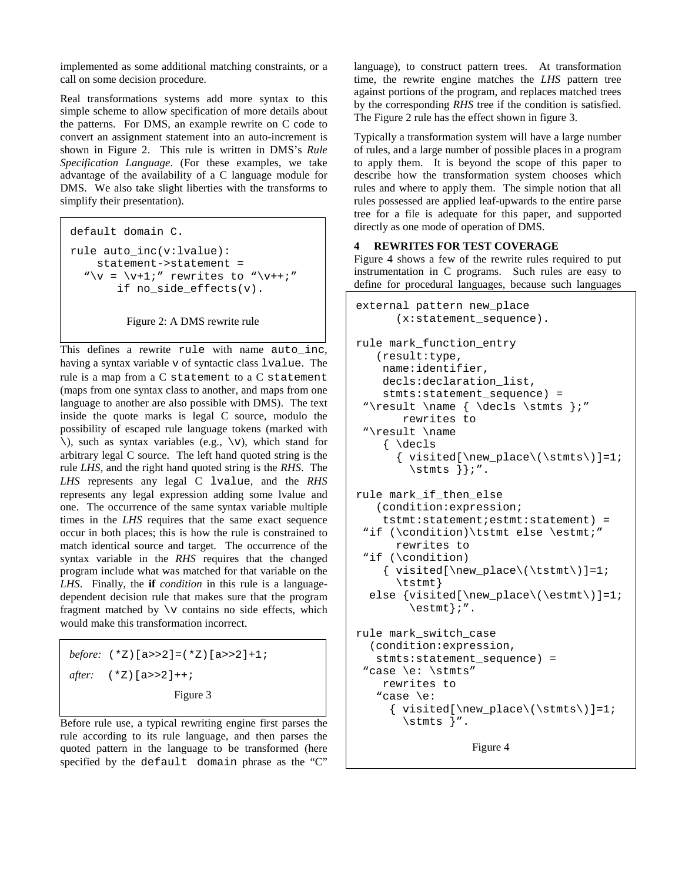implemented as some additional matching constraints, or a call on some decision procedure.

Real transformations systems add more syntax to this simple scheme to allow specification of more details about the patterns. For DMS, an example rewrite on C code to convert an assignment statement into an auto-increment is shown in Figure 2. This rule is written in DMS's *Rule Specification Language*. (For these examples, we take advantage of the availability of a C language module for DMS. We also take slight liberties with the transforms to simplify their presentation).

```
default domain C.
rule auto_inc(v:lvalue):
    statement->statement =
  "\vee = \vee+1;" rewrites to "\vee++;"
       if no_side_effects(v).
```
Figure 2: A DMS rewrite rule

This defines a rewrite rule with name auto\_inc, having a syntax variable v of syntactic class lvalue. The rule is a map from a C statement to a C statement (maps from one syntax class to another, and maps from one language to another are also possible with DMS). The text inside the quote marks is legal C source, modulo the possibility of escaped rule language tokens (marked with  $\setminus$ ), such as syntax variables (e.g.,  $\setminus v$ ), which stand for arbitrary legal C source. The left hand quoted string is the rule *LHS*, and the right hand quoted string is the *RHS*. The *LHS* represents any legal C lvalue, and the *RHS* represents any legal expression adding some lvalue and one. The occurrence of the same syntax variable multiple times in the *LHS* requires that the same exact sequence occur in both places; this is how the rule is constrained to match identical source and target. The occurrence of the syntax variable in the *RHS* requires that the changed program include what was matched for that variable on the *LHS*. Finally, the **if** *condition* in this rule is a languagedependent decision rule that makes sure that the program fragment matched by  $\forall$ v contains no side effects, which would make this transformation incorrect.

*before:* (\*Z)[a>>2]=(\*Z)[a>>2]+1; *after:* (\*Z)[a>>2]++; Figure 3

Before rule use, a typical rewriting engine first parses the rule according to its rule language, and then parses the quoted pattern in the language to be transformed (here specified by the default domain phrase as the "C"

language), to construct pattern trees. At transformation time, the rewrite engine matches the *LHS* pattern tree against portions of the program, and replaces matched trees by the corresponding *RHS* tree if the condition is satisfied. The Figure 2 rule has the effect shown in figure 3.

Typically a transformation system will have a large number of rules, and a large number of possible places in a program to apply them. It is beyond the scope of this paper to describe how the transformation system chooses which rules and where to apply them. The simple notion that all rules possessed are applied leaf-upwards to the entire parse tree for a file is adequate for this paper, and supported directly as one mode of operation of DMS.

# **4 REWRITES FOR TEST COVERAGE**

Figure 4 shows a few of the rewrite rules required to put instrumentation in C programs. Such rules are easy to define for procedural languages, because such languages

```
external pattern new_place
      (x:statement_sequence).
rule mark_function_entry
   (result:type,
    name:identifier,
    decls:declaration_list,
    stmts:statement_sequence) =
 "\result \name { \decls \stmts };"
       rewrites to
 "\result \name
    { \decls
      \{ visited[\new\_place(\bra{stmts})]=1;\stmts }};".
rule mark_if_then_else
   (condition:expression;
    tstmt:statement;estmt:statement) =
 "if (\condition)\tstmt else \estmt;"
      rewrites to
 "if (\condition)
    \{ visited[\new\_place(\text{stmt})]=1;\tstmt}
  else \{visited[\newpace{\newline}(\est\textrm{m})]=1;\estmt};".
rule mark_switch_case
  (condition:expression,
   stmts:statement_sequence) =
 "case \e: \stmts"
    rewrites to
   "case \e:
     \{ visited[\new\_place(\bra{stmts})]=1;\stmts }".
```
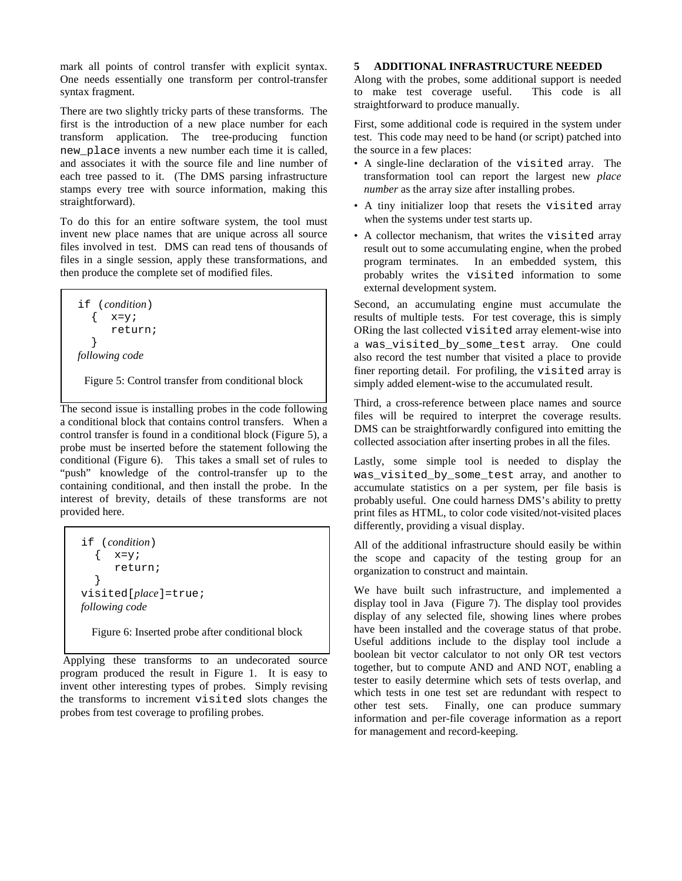mark all points of control transfer with explicit syntax. One needs essentially one transform per control-transfer syntax fragment.

There are two slightly tricky parts of these transforms. The first is the introduction of a new place number for each transform application. The tree-producing function new\_place invents a new number each time it is called, and associates it with the source file and line number of each tree passed to it. (The DMS parsing infrastructure stamps every tree with source information, making this straightforward).

To do this for an entire software system, the tool must invent new place names that are unique across all source files involved in test. DMS can read tens of thousands of files in a single session, apply these transformations, and then produce the complete set of modified files.

if (*condition*)  $\{ x=y;$ return; } *following code*

Figure 5: Control transfer from conditional block

The second issue is installing probes in the code following a conditional block that contains control transfers. When a control transfer is found in a conditional block (Figure 5), a probe must be inserted before the statement following the conditional (Figure 6). This takes a small set of rules to "push" knowledge of the control-transfer up to the containing conditional, and then install the probe. In the interest of brevity, details of these transforms are not provided here.

if (*condition*)  $\{ x=y;$ return; } visited[*place*]=true; *following code*

Figure 6: Inserted probe after conditional block

Applying these transforms to an undecorated source program produced the result in Figure 1. It is easy to invent other interesting types of probes. Simply revising the transforms to increment visited slots changes the probes from test coverage to profiling probes.

# **5 ADDITIONAL INFRASTRUCTURE NEEDED**

Along with the probes, some additional support is needed to make test coverage useful. This code is all straightforward to produce manually.

First, some additional code is required in the system under test. This code may need to be hand (or script) patched into the source in a few places:

- A single-line declaration of the visited array. The transformation tool can report the largest new *place number* as the array size after installing probes.
- A tiny initializer loop that resets the visited array when the systems under test starts up.
- A collector mechanism, that writes the visited array result out to some accumulating engine, when the probed program terminates. In an embedded system, this probably writes the visited information to some external development system.

Second, an accumulating engine must accumulate the results of multiple tests. For test coverage, this is simply ORing the last collected visited array element-wise into a was visited by some test array. One could also record the test number that visited a place to provide finer reporting detail. For profiling, the visited array is simply added element-wise to the accumulated result.

Third, a cross-reference between place names and source files will be required to interpret the coverage results. DMS can be straightforwardly configured into emitting the collected association after inserting probes in all the files.

Lastly, some simple tool is needed to display the was\_visited\_by\_some\_test array, and another to accumulate statistics on a per system, per file basis is probably useful. One could harness DMS's ability to pretty print files as HTML, to color code visited/not-visited places differently, providing a visual display.

All of the additional infrastructure should easily be within the scope and capacity of the testing group for an organization to construct and maintain.

We have built such infrastructure, and implemented a display tool in Java (Figure 7). The display tool provides display of any selected file, showing lines where probes have been installed and the coverage status of that probe. Useful additions include to the display tool include a boolean bit vector calculator to not only OR test vectors together, but to compute AND and AND NOT, enabling a tester to easily determine which sets of tests overlap, and which tests in one test set are redundant with respect to other test sets. Finally, one can produce summary information and per-file coverage information as a report for management and record-keeping.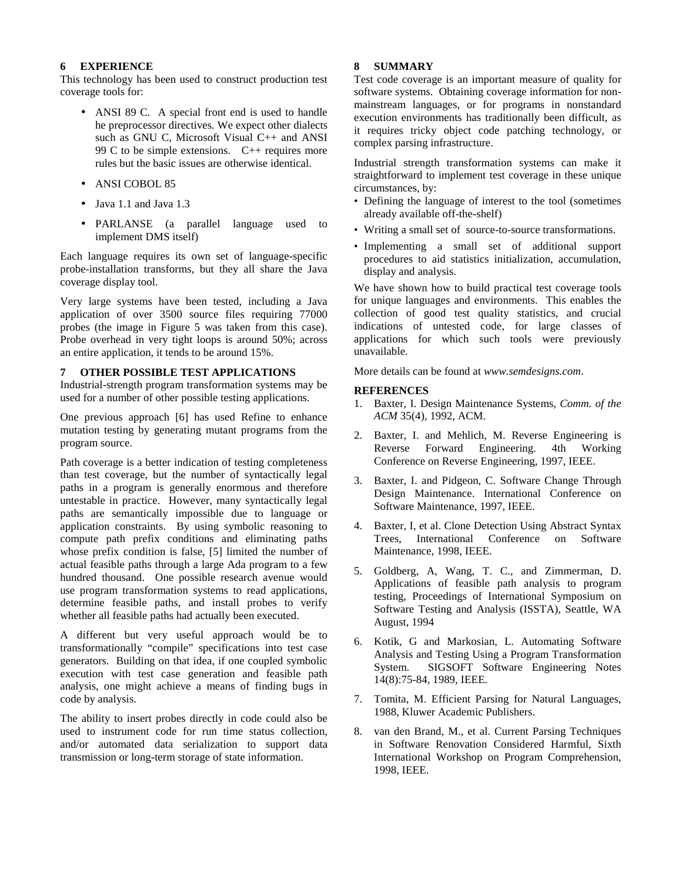### **6 EXPERIENCE**

This technology has been used to construct production test coverage tools for:

- ANSI 89 C. A special front end is used to handle he preprocessor directives. We expect other dialects such as GNU C, Microsoft Visual C++ and ANSI 99 C to be simple extensions.  $C_{++}$  requires more rules but the basic issues are otherwise identical.
- ANSI COBOL 85
- Java 1.1 and Java 1.3
- PARLANSE (a parallel language used to implement DMS itself)

Each language requires its own set of language-specific probe-installation transforms, but they all share the Java coverage display tool.

Very large systems have been tested, including a Java application of over 3500 source files requiring 77000 probes (the image in Figure 5 was taken from this case). Probe overhead in very tight loops is around 50%; across an entire application, it tends to be around 15%.

### **7 OTHER POSSIBLE TEST APPLICATIONS**

Industrial-strength program transformation systems may be used for a number of other possible testing applications.

One previous approach [6] has used Refine to enhance mutation testing by generating mutant programs from the program source.

Path coverage is a better indication of testing completeness than test coverage, but the number of syntactically legal paths in a program is generally enormous and therefore untestable in practice. However, many syntactically legal paths are semantically impossible due to language or application constraints. By using symbolic reasoning to compute path prefix conditions and eliminating paths whose prefix condition is false, [5] limited the number of actual feasible paths through a large Ada program to a few hundred thousand. One possible research avenue would use program transformation systems to read applications, determine feasible paths, and install probes to verify whether all feasible paths had actually been executed.

A different but very useful approach would be to transformationally "compile" specifications into test case generators. Building on that idea, if one coupled symbolic execution with test case generation and feasible path analysis, one might achieve a means of finding bugs in code by analysis.

The ability to insert probes directly in code could also be used to instrument code for run time status collection, and/or automated data serialization to support data transmission or long-term storage of state information.

## **8 SUMMARY**

Test code coverage is an important measure of quality for software systems. Obtaining coverage information for nonmainstream languages, or for programs in nonstandard execution environments has traditionally been difficult, as it requires tricky object code patching technology, or complex parsing infrastructure.

Industrial strength transformation systems can make it straightforward to implement test coverage in these unique circumstances, by:

- Defining the language of interest to the tool (sometimes already available off-the-shelf)
- Writing a small set of source-to-source transformations.
- Implementing a small set of additional support procedures to aid statistics initialization, accumulation, display and analysis.

We have shown how to build practical test coverage tools for unique languages and environments. This enables the collection of good test quality statistics, and crucial indications of untested code, for large classes of applications for which such tools were previously unavailable.

More details can be found at *www.semdesigns.com*.

# **REFERENCES**

- 1. Baxter, I. Design Maintenance Systems, *Comm. of the ACM* 35(4), 1992, ACM.
- 2. Baxter, I. and Mehlich, M. Reverse Engineering is Reverse Forward Engineering. 4th Working Conference on Reverse Engineering, 1997, IEEE.
- 3. Baxter, I. and Pidgeon, C. Software Change Through Design Maintenance. International Conference on Software Maintenance, 1997, IEEE.
- 4. Baxter, I, et al. Clone Detection Using Abstract Syntax Trees, International Conference on Software Maintenance, 1998, IEEE.
- 5. Goldberg, A, Wang, T. C., and Zimmerman, D. Applications of feasible path analysis to program testing, Proceedings of International Symposium on Software Testing and Analysis (ISSTA), Seattle, WA August, 1994
- 6. Kotik, G and Markosian, L. Automating Software Analysis and Testing Using a Program Transformation System. SIGSOFT Software Engineering Notes 14(8):75-84, 1989, IEEE.
- 7. Tomita, M. Efficient Parsing for Natural Languages, 1988, Kluwer Academic Publishers.
- 8. van den Brand, M., et al. Current Parsing Techniques in Software Renovation Considered Harmful, Sixth International Workshop on Program Comprehension, 1998, IEEE.